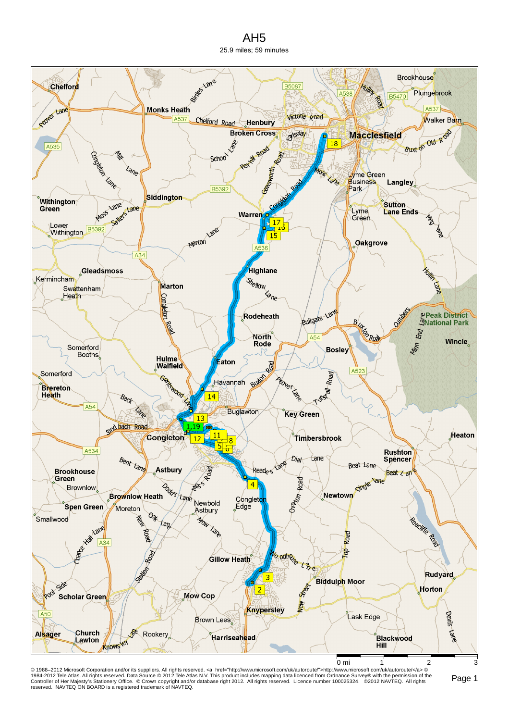## AH5 25.9 miles; 59 minutes



© 1988–2012 Microsoft Corporation and/or its suppliers. All rights reserved. ⊲a href="http://www.microsoft.com/uk/autoroute">http://www.microsoft.com/uk/autoroute/⊲a> ©<br>1984-2012 Tele Atlas. All rights reserved. Data Sour reserved. NAVTEQ ON BOARD is a registered trademark of NAVTEQ.

Page 1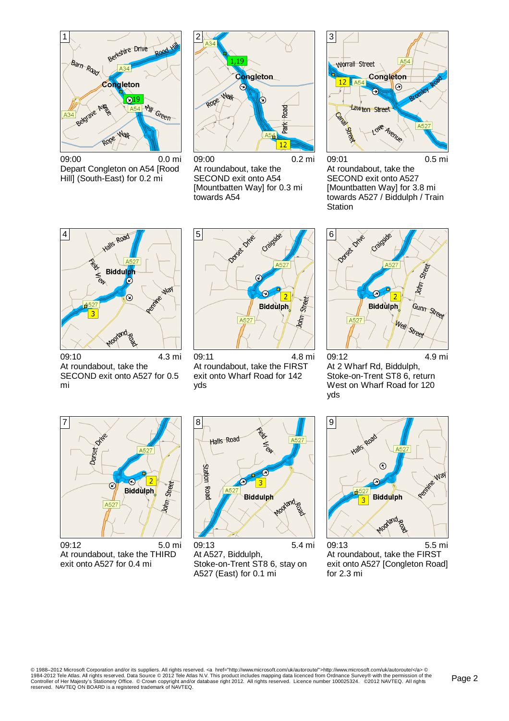

09:00 0.0 mi Depart Congleton on A54 [Rood Hill] (South-East) for 0.2 mi



09:00 0.2 mi At roundabout, take the SECOND exit onto A54 [Mountbatten Way] for 0.3 mi towards A54



09:01 0.5 mi At roundabout, take the SECOND exit onto A527 [Mountbatten Way] for 3.8 mi towards A527 / Biddulph / Train **Station** 



09:10 4.3 mi At roundabout, take the SECOND exit onto A527 for 0.5 mi



09:11 4.8 mi At roundabout, take the FIRST exit onto Wharf Road for 142 yds



09:12 4.9 mi At 2 Wharf Rd, Biddulph, Stoke-on-Trent ST8 6, return West on Wharf Road for 120 yds



09:12 5.0 mi At roundabout, take the THIRD exit onto A527 for 0.4 mi



09:13 5.4 mi At A527, Biddulph, Stoke-on-Trent ST8 6, stay on A527 (East) for 0.1 mi



09:13 5.5 mi At roundabout, take the FIRST exit onto A527 [Congleton Road] for 2.3 mi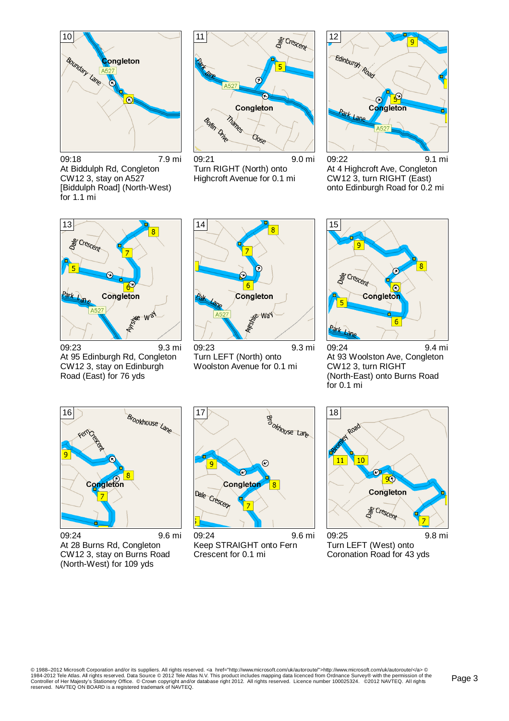

09:18 7.9 mi At Biddulph Rd, Congleton CW12 3, stay on A527 [Biddulph Road] (North-West) for 1.1 mi



09:21 9.0 mi Turn RIGHT (North) onto Highcroft Avenue for 0.1 mi



09:22 9.1 mi At 4 Highcroft Ave, Congleton CW12 3, turn RIGHT (East) onto Edinburgh Road for 0.2 mi



09:23 9.3 mi At 95 Edinburgh Rd, Congleton CW12 3, stay on Edinburgh Road (East) for 76 yds



09:23 9.3 mi Turn LEFT (North) onto Woolston Avenue for 0.1 mi



09:24 9.4 mi At 93 Woolston Ave, Congleton CW12 3, turn RIGHT (North-East) onto Burns Road for 0.1 mi



09:24 9.6 mi At 28 Burns Rd, Congleton CW12 3, stay on Burns Road (North-West) for 109 yds



09:24 9.6 mi Keep STRAIGHT onto Fern Crescent for 0.1 mi



09:25 9.8 mi Turn LEFT (West) onto Coronation Road for 43 yds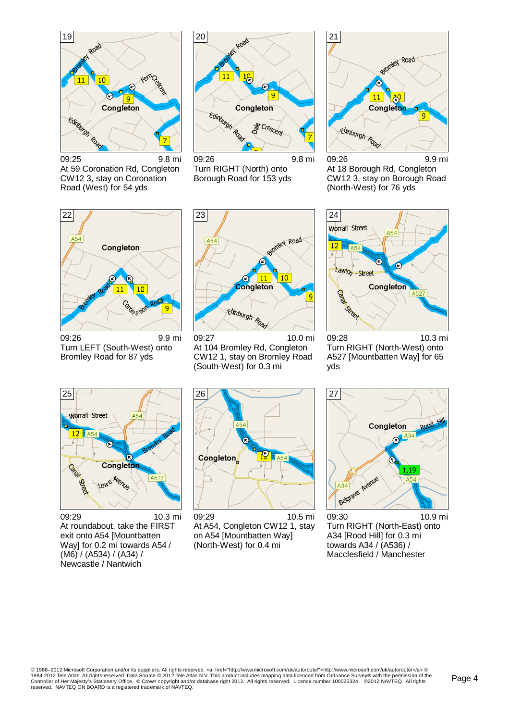

20 Road 11  $\frac{1}{2}$  $\overline{a}$ Edinburgh Read Congleton **S** Crescent

09:25 9.8 mi At 59 Coronation Rd, Congleton CW12 3, stay on Coronation Road (West) for 54 yds

09:26 9.8 mi Turn RIGHT (North) onto Borough Road for 153 yds



09:26 9.9 mi At 18 Borough Rd, Congleton CW12 3, stay on Borough Road (North-West) for 76 yds



09:26 9.9 mi Turn LEFT (South-West) onto Bromley Road for 87 yds



09:27 10.0 mi At 104 Bromley Rd, Congleton CW12 1, stay on Bromley Road (South-West) for 0.3 mi



09:28 10.3 mi Turn RIGHT (North-West) onto A527 [Mountbatten Way] for 65 yds



09:29 10.3 mi At roundabout, take the FIRST exit onto A54 [Mountbatten Way] for 0.2 mi towards A54 / (M6) / (A534) / (A34) / Newcastle / Nantwich



09:29 10.5 mi At A54, Congleton CW12 1, stay on A54 [Mountbatten Way] (North-West) for 0.4 mi



09:30 10.9 mi Turn RIGHT (North-East) onto A34 [Rood Hill] for 0.3 mi towards A34 / (A536) / Macclesfield / Manchester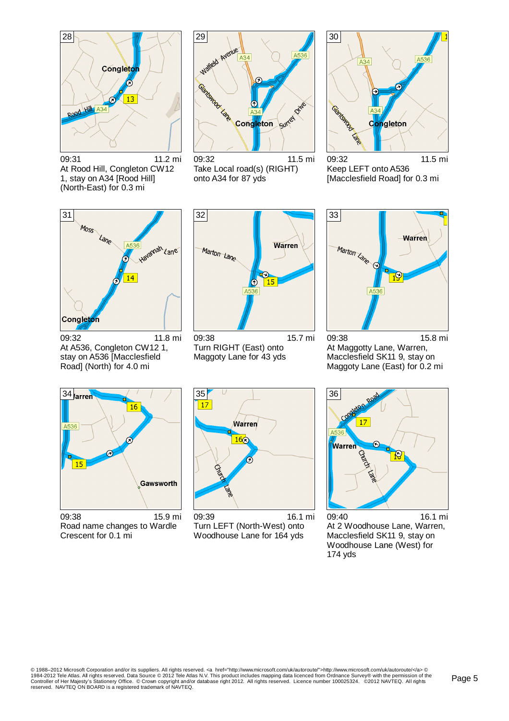

09:31 11.2 mi At Rood Hill, Congleton CW12 1, stay on A34 [Rood Hill] (North-East) for 0.3 mi



09:32 11.5 mi Take Local road(s) (RIGHT) onto A34 for 87 yds



09:32 11.5 mi Keep LEFT onto A536 [Macclesfield Road] for 0.3 mi



09:32 11.8 mi At A536, Congleton CW12 1, stay on A536 [Macclesfield Road] (North) for 4.0 mi



09:38 15.7 mi Turn RIGHT (East) onto Maggoty Lane for 43 yds



09:38 15.8 mi At Maggotty Lane, Warren, Macclesfield SK11 9, stay on Maggoty Lane (East) for 0.2 mi



09:38 15.9 mi Road name changes to Wardle Crescent for 0.1 mi



09:39 16.1 mi Turn LEFT (North-West) onto Woodhouse Lane for 164 yds



09:40 16.1 mi At 2 Woodhouse Lane, Warren, Macclesfield SK11 9, stay on Woodhouse Lane (West) for 174 yds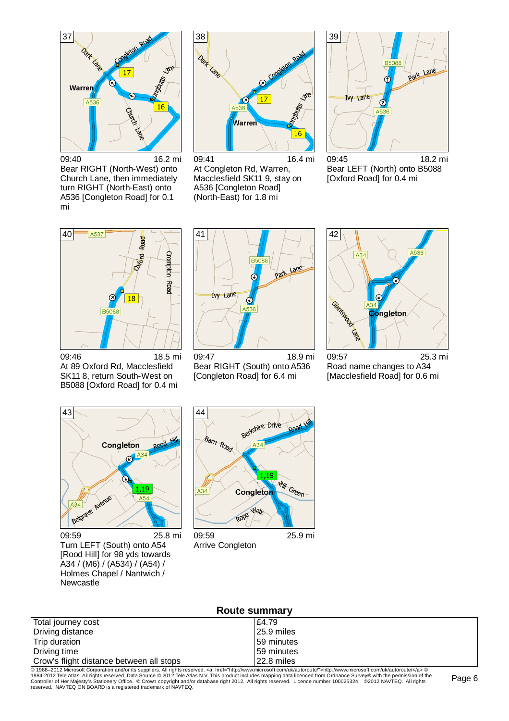

09:40 16.2 mi Bear RIGHT (North-West) onto Church Lane, then immediately turn RIGHT (North-East) onto A536 [Congleton Road] for 0.1 mi



09:41 16.4 mi At Congleton Rd, Warren, Macclesfield SK11 9, stay on A536 [Congleton Road] (North-East) for 1.8 mi



09:45 18.2 mi Bear LEFT (North) onto B5088 [Oxford Road] for 0.4 mi



09:46 18.5 mi At 89 Oxford Rd, Macclesfield SK11 8, return South-West on B5088 [Oxford Road] for 0.4 mi



09:47 18.9 mi Bear RIGHT (South) onto A536 [Congleton Road] for 6.4 mi



09:57 25.3 mi Road name changes to A34 [Macclesfield Road] for 0.6 mi



09:59 25.8 mi Turn LEFT (South) onto A54 [Rood Hill] for 98 yds towards A34 / (M6) / (A534) / (A54) / Holmes Chapel / Nantwich / Newcastle



Arrive Congleton

| Route summary                            |              |  |  |
|------------------------------------------|--------------|--|--|
| Total journey cost                       | £4.79        |  |  |
| Driving distance                         | l 25.9 miles |  |  |
| Trip duration                            | 159 minutes  |  |  |
| Driving time                             | 159 minutes  |  |  |
| Crow's flight distance between all stops | 22.8 miles   |  |  |

© 1988–2012 Microsoft Corporation and/or its suppliers. All rights reserved. ⊲a href="http://www.microsoft.com/uk/autoroute">http://www.microsoft.com/uk/autoroute/⊲a> ©<br>1984-2012 Tele Atlas. All rights reserved. Data Sour reserved. NAVTEQ ON BOARD is a registered trademark of NAVTEQ.